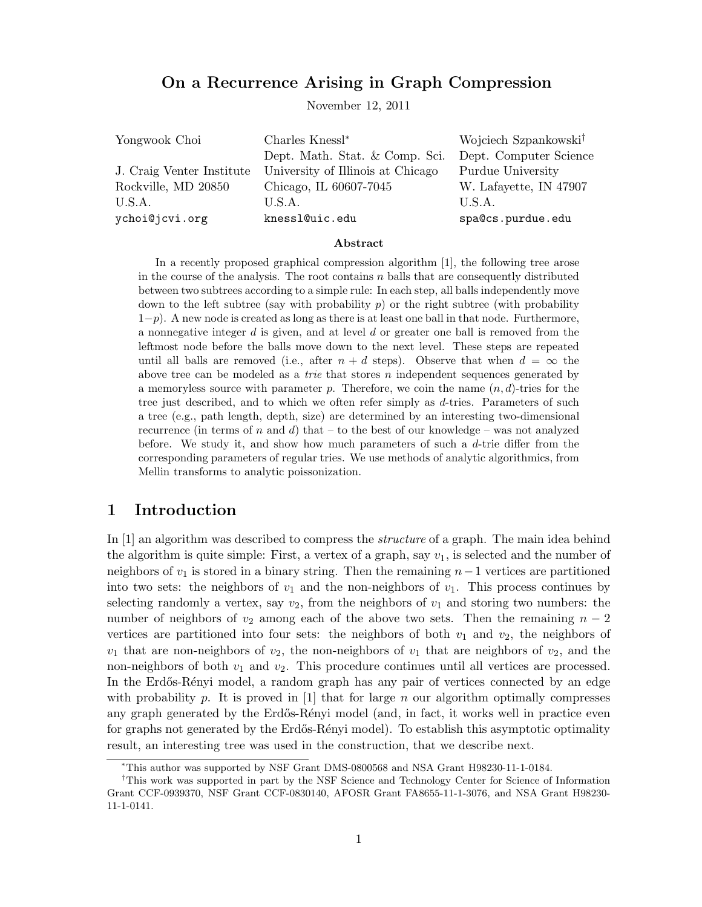# On a Recurrence Arising in Graph Compression

November 12, 2011

| Yongwook Choi             | Charles Knessl <sup>*</sup>       | Wojciech Szpankowski <sup>†</sup> |
|---------------------------|-----------------------------------|-----------------------------------|
|                           | Dept. Math. Stat. & Comp. Sci.    | Dept. Computer Science            |
| J. Craig Venter Institute | University of Illinois at Chicago | Purdue University                 |
| Rockville, MD 20850       | Chicago, IL 60607-7045            | W. Lafayette, IN 47907            |
| U.S.A.                    | U.S.A.                            | U.S.A.                            |
| ychoi@jcvi.org            | knessl@uic.edu                    | spa@cs.purdue.edu                 |

#### Abstract

In a recently proposed graphical compression algorithm [1], the following tree arose in the course of the analysis. The root contains  $n$  balls that are consequently distributed between two subtrees according to a simple rule: In each step, all balls independently move down to the left subtree (say with probability  $p$ ) or the right subtree (with probability  $1-p$ ). A new node is created as long as there is at least one ball in that node. Furthermore, a nonnegative integer  $d$  is given, and at level  $d$  or greater one ball is removed from the leftmost node before the balls move down to the next level. These steps are repeated until all balls are removed (i.e., after  $n + d$  steps). Observe that when  $d = \infty$  the above tree can be modeled as a trie that stores n independent sequences generated by a memoryless source with parameter p. Therefore, we coin the name  $(n, d)$ -tries for the tree just described, and to which we often refer simply as d-tries. Parameters of such a tree (e.g., path length, depth, size) are determined by an interesting two-dimensional recurrence (in terms of n and d) that – to the best of our knowledge – was not analyzed before. We study it, and show how much parameters of such a  $d$ -trie differ from the corresponding parameters of regular tries. We use methods of analytic algorithmics, from Mellin transforms to analytic poissonization.

# 1 Introduction

In [1] an algorithm was described to compress the *structure* of a graph. The main idea behind the algorithm is quite simple: First, a vertex of a graph, say  $v_1$ , is selected and the number of neighbors of  $v_1$  is stored in a binary string. Then the remaining  $n-1$  vertices are partitioned into two sets: the neighbors of  $v_1$  and the non-neighbors of  $v_1$ . This process continues by selecting randomly a vertex, say  $v_2$ , from the neighbors of  $v_1$  and storing two numbers: the number of neighbors of  $v_2$  among each of the above two sets. Then the remaining  $n-2$ vertices are partitioned into four sets: the neighbors of both  $v_1$  and  $v_2$ , the neighbors of  $v_1$  that are non-neighbors of  $v_2$ , the non-neighbors of  $v_1$  that are neighbors of  $v_2$ , and the non-neighbors of both  $v_1$  and  $v_2$ . This procedure continues until all vertices are processed. In the Erdős-Rényi model, a random graph has any pair of vertices connected by an edge with probability p. It is proved in  $[1]$  that for large n our algorithm optimally compresses any graph generated by the Erdős-Rényi model (and, in fact, it works well in practice even for graphs not generated by the Erdős-Rényi model). To establish this asymptotic optimality result, an interesting tree was used in the construction, that we describe next.

<sup>∗</sup>This author was supported by NSF Grant DMS-0800568 and NSA Grant H98230-11-1-0184.

<sup>&</sup>lt;sup>†</sup>This work was supported in part by the NSF Science and Technology Center for Science of Information Grant CCF-0939370, NSF Grant CCF-0830140, AFOSR Grant FA8655-11-1-3076, and NSA Grant H98230- 11-1-0141.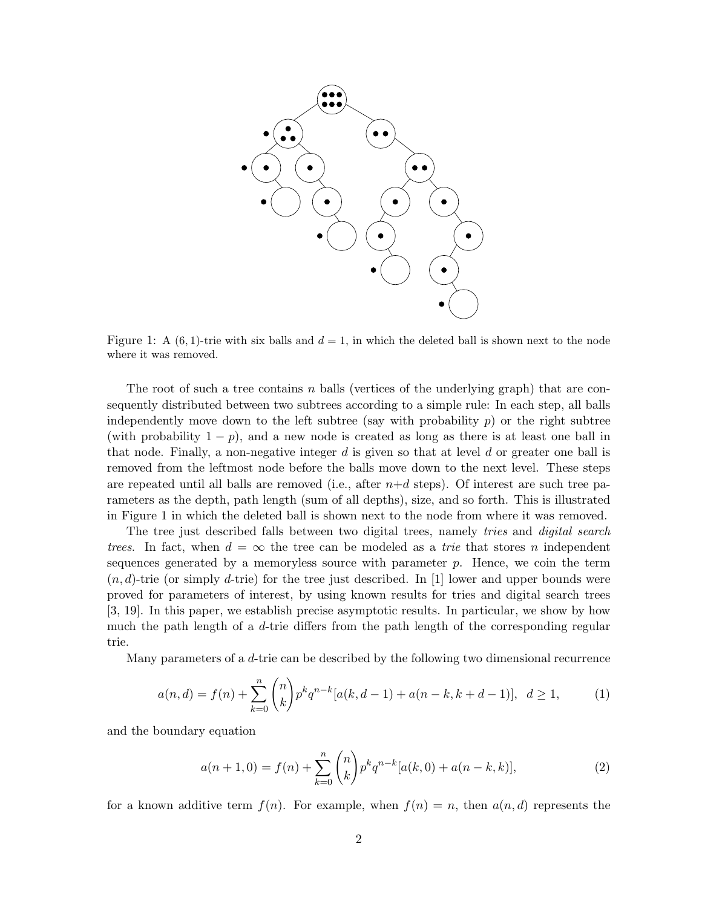

Figure 1: A  $(6, 1)$ -trie with six balls and  $d = 1$ , in which the deleted ball is shown next to the node where it was removed.

The root of such a tree contains n balls (vertices of the underlying graph) that are consequently distributed between two subtrees according to a simple rule: In each step, all balls independently move down to the left subtree (say with probability  $p$ ) or the right subtree (with probability  $1 - p$ ), and a new node is created as long as there is at least one ball in that node. Finally, a non-negative integer  $d$  is given so that at level  $d$  or greater one ball is removed from the leftmost node before the balls move down to the next level. These steps are repeated until all balls are removed (i.e., after  $n+d$  steps). Of interest are such tree parameters as the depth, path length (sum of all depths), size, and so forth. This is illustrated in Figure 1 in which the deleted ball is shown next to the node from where it was removed.

The tree just described falls between two digital trees, namely *tries* and *digital search* trees. In fact, when  $d = \infty$  the tree can be modeled as a trie that stores n independent sequences generated by a memoryless source with parameter  $p$ . Hence, we coin the term  $(n, d)$ -trie (or simply d-trie) for the tree just described. In [1] lower and upper bounds were proved for parameters of interest, by using known results for tries and digital search trees [3, 19]. In this paper, we establish precise asymptotic results. In particular, we show by how much the path length of a d-trie differs from the path length of the corresponding regular trie.

Many parameters of a d-trie can be described by the following two dimensional recurrence

$$
a(n,d) = f(n) + \sum_{k=0}^{n} {n \choose k} p^k q^{n-k} [a(k,d-1) + a(n-k,k+d-1)], \ d \ge 1,
$$
 (1)

and the boundary equation

$$
a(n+1,0) = f(n) + \sum_{k=0}^{n} {n \choose k} p^k q^{n-k} [a(k,0) + a(n-k,k)],
$$
\n(2)

for a known additive term  $f(n)$ . For example, when  $f(n) = n$ , then  $a(n,d)$  represents the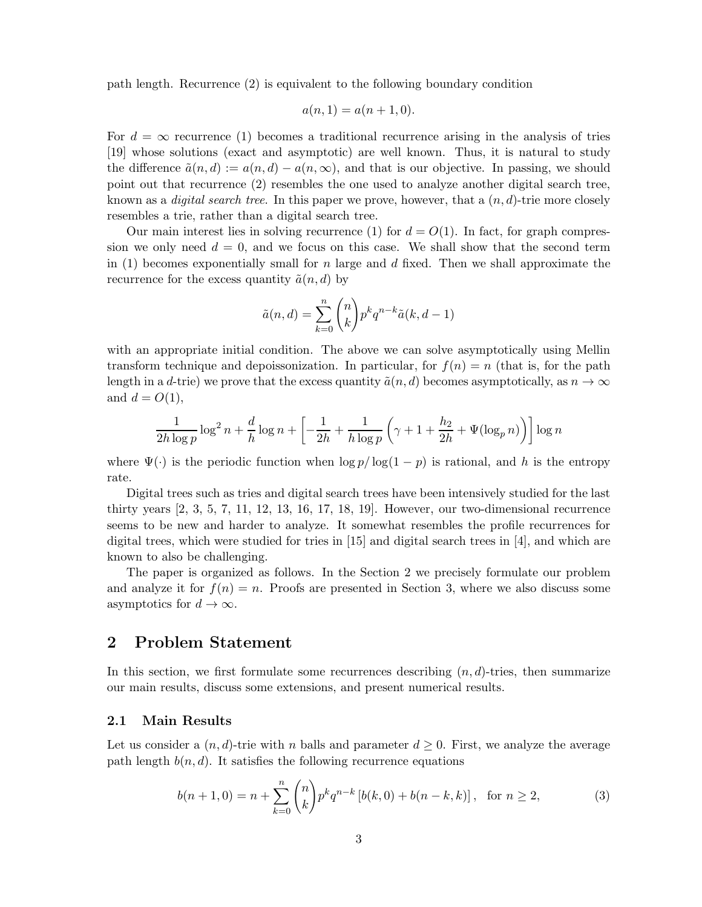path length. Recurrence (2) is equivalent to the following boundary condition

$$
a(n,1) = a(n+1,0).
$$

For  $d = \infty$  recurrence (1) becomes a traditional recurrence arising in the analysis of tries [19] whose solutions (exact and asymptotic) are well known. Thus, it is natural to study the difference  $\tilde{a}(n, d) := a(n, d) - a(n, \infty)$ , and that is our objective. In passing, we should point out that recurrence (2) resembles the one used to analyze another digital search tree, known as a *digital search tree*. In this paper we prove, however, that a  $(n, d)$ -trie more closely resembles a trie, rather than a digital search tree.

Our main interest lies in solving recurrence (1) for  $d = O(1)$ . In fact, for graph compression we only need  $d = 0$ , and we focus on this case. We shall show that the second term in (1) becomes exponentially small for n large and d fixed. Then we shall approximate the recurrence for the excess quantity  $\tilde{a}(n, d)$  by

$$
\tilde{a}(n,d) = \sum_{k=0}^{n} {n \choose k} p^k q^{n-k} \tilde{a}(k, d-1)
$$

with an appropriate initial condition. The above we can solve asymptotically using Mellin transform technique and depoissonization. In particular, for  $f(n) = n$  (that is, for the path length in a d-trie) we prove that the excess quantity  $\tilde{a}(n, d)$  becomes asymptotically, as  $n \to \infty$ and  $d = O(1)$ ,

$$
\frac{1}{2h\log p}\log^2 n + \frac{d}{h}\log n + \left[-\frac{1}{2h} + \frac{1}{h\log p}\left(\gamma + 1 + \frac{h_2}{2h} + \Psi(\log_p n)\right)\right]\log n
$$

where  $\Psi(\cdot)$  is the periodic function when  $\log p / \log(1-p)$  is rational, and h is the entropy rate.

Digital trees such as tries and digital search trees have been intensively studied for the last thirty years [2, 3, 5, 7, 11, 12, 13, 16, 17, 18, 19]. However, our two-dimensional recurrence seems to be new and harder to analyze. It somewhat resembles the profile recurrences for digital trees, which were studied for tries in [15] and digital search trees in [4], and which are known to also be challenging.

The paper is organized as follows. In the Section 2 we precisely formulate our problem and analyze it for  $f(n) = n$ . Proofs are presented in Section 3, where we also discuss some asymptotics for  $d \to \infty$ .

# 2 Problem Statement

In this section, we first formulate some recurrences describing  $(n, d)$ -tries, then summarize our main results, discuss some extensions, and present numerical results.

#### 2.1 Main Results

Let us consider a  $(n, d)$ -trie with n balls and parameter  $d \geq 0$ . First, we analyze the average path length  $b(n, d)$ . It satisfies the following recurrence equations

$$
b(n+1,0) = n + \sum_{k=0}^{n} {n \choose k} p^k q^{n-k} \left[ b(k,0) + b(n-k,k) \right], \text{ for } n \ge 2,
$$
 (3)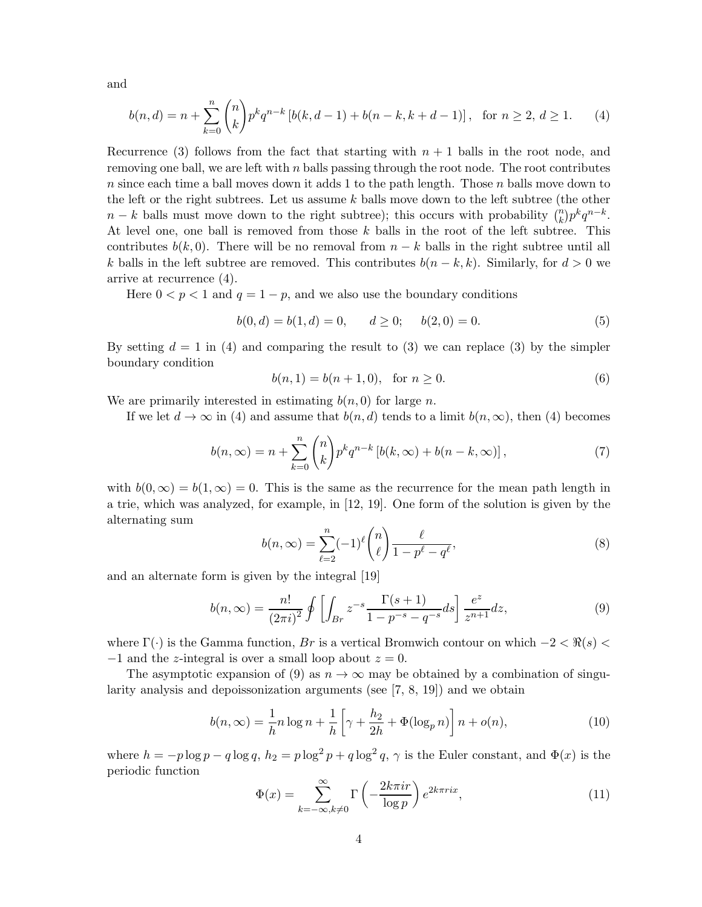and

$$
b(n,d) = n + \sum_{k=0}^{n} {n \choose k} p^k q^{n-k} \left[ b(k,d-1) + b(n-k,k+d-1) \right], \text{ for } n \ge 2, d \ge 1.
$$
 (4)

Recurrence (3) follows from the fact that starting with  $n + 1$  balls in the root node, and removing one ball, we are left with  $n$  balls passing through the root node. The root contributes n since each time a ball moves down it adds 1 to the path length. Those n balls move down to the left or the right subtrees. Let us assume  $k$  balls move down to the left subtree (the other  $n - k$  balls must move down to the right subtree); this occurs with probability  $\binom{n}{k} p^k q^{n-k}$ . At level one, one ball is removed from those k balls in the root of the left subtree. This contributes  $b(k, 0)$ . There will be no removal from  $n - k$  balls in the right subtree until all k balls in the left subtree are removed. This contributes  $b(n - k, k)$ . Similarly, for  $d > 0$  we arrive at recurrence (4).

Here  $0 < p < 1$  and  $q = 1 - p$ , and we also use the boundary conditions

$$
b(0, d) = b(1, d) = 0, \qquad d \ge 0; \qquad b(2, 0) = 0.
$$
 (5)

By setting  $d = 1$  in (4) and comparing the result to (3) we can replace (3) by the simpler boundary condition

$$
b(n,1) = b(n+1,0), \text{ for } n \ge 0.
$$
 (6)

We are primarily interested in estimating  $b(n, 0)$  for large n.

If we let  $d \to \infty$  in (4) and assume that  $b(n, d)$  tends to a limit  $b(n, \infty)$ , then (4) becomes

$$
b(n,\infty) = n + \sum_{k=0}^{n} {n \choose k} p^{k} q^{n-k} \left[ b(k,\infty) + b(n-k,\infty) \right],
$$
 (7)

with  $b(0,\infty) = b(1,\infty) = 0$ . This is the same as the recurrence for the mean path length in a trie, which was analyzed, for example, in [12, 19]. One form of the solution is given by the alternating sum

$$
b(n,\infty) = \sum_{\ell=2}^{n} (-1)^{\ell} \binom{n}{\ell} \frac{\ell}{1 - p^{\ell} - q^{\ell}},
$$
\n(8)

and an alternate form is given by the integral [19]

$$
b(n,\infty) = \frac{n!}{(2\pi i)^2} \oint \left[ \int_{Br} z^{-s} \frac{\Gamma(s+1)}{1 - p^{-s} - q^{-s}} ds \right] \frac{e^z}{z^{n+1}} dz,
$$
 (9)

where  $\Gamma(\cdot)$  is the Gamma function, Br is a vertical Bromwich contour on which  $-2 < \Re(s)$  $-1$  and the z-integral is over a small loop about  $z = 0$ .

The asymptotic expansion of (9) as  $n \to \infty$  may be obtained by a combination of singularity analysis and depoissonization arguments (see [7, 8, 19]) and we obtain

$$
b(n,\infty) = \frac{1}{h}n\log n + \frac{1}{h}\left[\gamma + \frac{h_2}{2h} + \Phi(\log_p n)\right]n + o(n),\tag{10}
$$

where  $h = -p \log p - q \log q$ ,  $h_2 = p \log^2 p + q \log^2 q$ ,  $\gamma$  is the Euler constant, and  $\Phi(x)$  is the periodic function

$$
\Phi(x) = \sum_{k=-\infty, k \neq 0}^{\infty} \Gamma\left(-\frac{2k\pi i r}{\log p}\right) e^{2k\pi r i x},\tag{11}
$$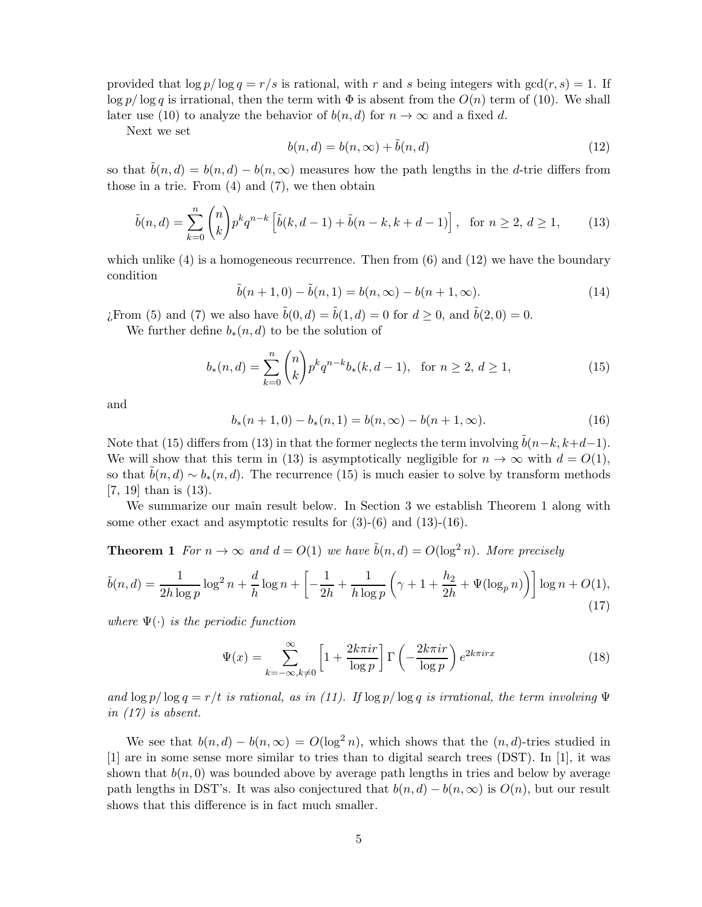provided that  $\log p / \log q = r/s$  is rational, with r and s being integers with  $gcd(r, s) = 1$ . If  $\log p / \log q$  is irrational, then the term with  $\Phi$  is absent from the  $O(n)$  term of (10). We shall later use (10) to analyze the behavior of  $b(n, d)$  for  $n \to \infty$  and a fixed d.

Next we set

$$
b(n,d) = b(n,\infty) + \tilde{b}(n,d)
$$
\n(12)

so that  $\overline{b}(n, d) = b(n, d) - b(n, \infty)$  measures how the path lengths in the d-trie differs from those in a trie. From  $(4)$  and  $(7)$ , we then obtain

$$
\tilde{b}(n,d) = \sum_{k=0}^{n} {n \choose k} p^k q^{n-k} \left[ \tilde{b}(k,d-1) + \tilde{b}(n-k,k+d-1) \right], \text{ for } n \ge 2, d \ge 1,
$$
 (13)

which unlike  $(4)$  is a homogeneous recurrence. Then from  $(6)$  and  $(12)$  we have the boundary condition

$$
\tilde{b}(n+1,0) - \tilde{b}(n,1) = b(n,\infty) - b(n+1,\infty).
$$
\n(14)

¿From (5) and (7) we also have  $\tilde{b}(0, d) = \tilde{b}(1, d) = 0$  for  $d \ge 0$ , and  $\tilde{b}(2, 0) = 0$ .

We further define  $b_*(n, d)$  to be the solution of

$$
b_*(n,d) = \sum_{k=0}^n \binom{n}{k} p^k q^{n-k} b_*(k, d-1), \text{ for } n \ge 2, d \ge 1,
$$
 (15)

and

$$
b_*(n+1,0) - b_*(n,1) = b(n,\infty) - b(n+1,\infty).
$$
 (16)

Note that (15) differs from (13) in that the former neglects the term involving  $\tilde{b}(n-k, k+d-1)$ . We will show that this term in (13) is asymptotically negligible for  $n \to \infty$  with  $d = O(1)$ , so that  $b(n, d) \sim b_*(n, d)$ . The recurrence (15) is much easier to solve by transform methods [7, 19] than is (13).

We summarize our main result below. In Section 3 we establish Theorem 1 along with some other exact and asymptotic results for  $(3)-(6)$  and  $(13)-(16)$ .

**Theorem 1** For  $n \to \infty$  and  $d = O(1)$  we have  $\tilde{b}(n, d) = O(\log^2 n)$ . More precisely

$$
\tilde{b}(n,d) = \frac{1}{2h \log p} \log^2 n + \frac{d}{h} \log n + \left[ -\frac{1}{2h} + \frac{1}{h \log p} \left( \gamma + 1 + \frac{h_2}{2h} + \Psi(\log_p n) \right) \right] \log n + O(1),\tag{17}
$$

where  $\Psi(\cdot)$  is the periodic function

$$
\Psi(x) = \sum_{k=-\infty, k \neq 0}^{\infty} \left[ 1 + \frac{2k\pi i r}{\log p} \right] \Gamma\left(-\frac{2k\pi i r}{\log p}\right) e^{2k\pi i r x} \tag{18}
$$

and  $\log p / \log q = r/t$  is rational, as in (11). If  $\log p / \log q$  is irrational, the term involving  $\Psi$ in (17) is absent.

We see that  $b(n, d) - b(n, \infty) = O(\log^2 n)$ , which shows that the  $(n, d)$ -tries studied in [1] are in some sense more similar to tries than to digital search trees (DST). In [1], it was shown that  $b(n, 0)$  was bounded above by average path lengths in tries and below by average path lengths in DST's. It was also conjectured that  $b(n, d) - b(n, \infty)$  is  $O(n)$ , but our result shows that this difference is in fact much smaller.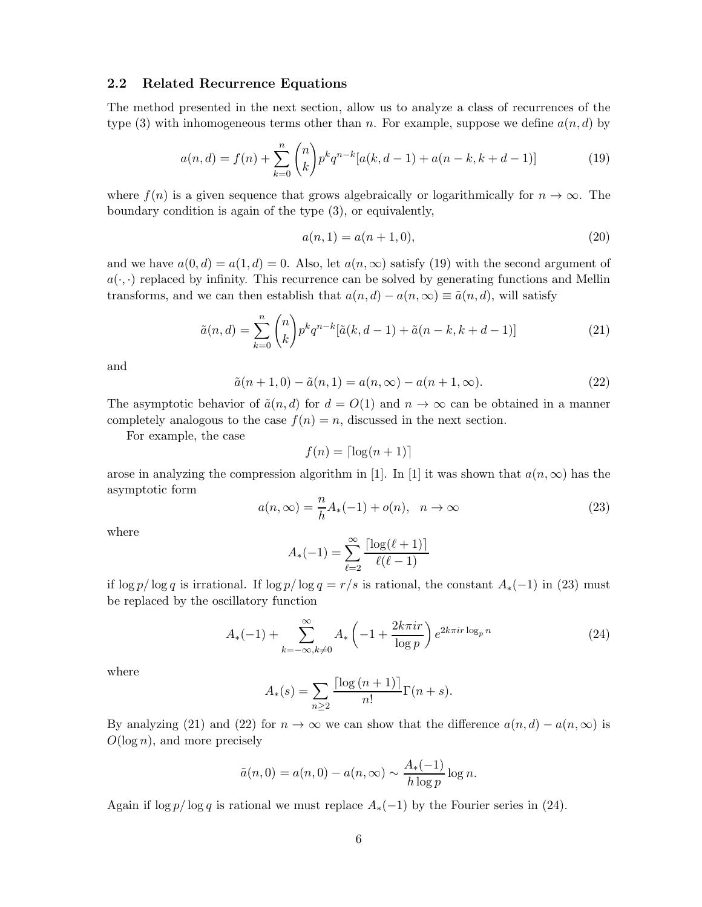#### 2.2 Related Recurrence Equations

The method presented in the next section, allow us to analyze a class of recurrences of the type (3) with inhomogeneous terms other than n. For example, suppose we define  $a(n, d)$  by

$$
a(n,d) = f(n) + \sum_{k=0}^{n} {n \choose k} p^k q^{n-k} [a(k,d-1) + a(n-k,k+d-1)] \tag{19}
$$

where  $f(n)$  is a given sequence that grows algebraically or logarithmically for  $n \to \infty$ . The boundary condition is again of the type (3), or equivalently,

$$
a(n,1) = a(n+1,0),
$$
\n(20)

and we have  $a(0, d) = a(1, d) = 0$ . Also, let  $a(n, \infty)$  satisfy (19) with the second argument of  $a(\cdot, \cdot)$  replaced by infinity. This recurrence can be solved by generating functions and Mellin transforms, and we can then establish that  $a(n, d) - a(n, \infty) \equiv \tilde{a}(n, d)$ , will satisfy

$$
\tilde{a}(n,d) = \sum_{k=0}^{n} {n \choose k} p^k q^{n-k} [\tilde{a}(k,d-1) + \tilde{a}(n-k,k+d-1)]
$$
\n(21)

and

$$
\tilde{a}(n+1,0) - \tilde{a}(n,1) = a(n,\infty) - a(n+1,\infty).
$$
 (22)

The asymptotic behavior of  $\tilde{a}(n, d)$  for  $d = O(1)$  and  $n \to \infty$  can be obtained in a manner completely analogous to the case  $f(n) = n$ , discussed in the next section.

For example, the case

$$
f(n) = \lceil \log(n+1) \rceil
$$

arose in analyzing the compression algorithm in [1]. In [1] it was shown that  $a(n,\infty)$  has the asymptotic form

$$
a(n,\infty) = \frac{n}{h}A_*(-1) + o(n), \quad n \to \infty
$$
\n(23)

where

$$
A_*(-1) = \sum_{\ell=2}^{\infty} \frac{\lceil \log(\ell+1) \rceil}{\ell(\ell-1)}
$$

if  $\log p / \log q$  is irrational. If  $\log p / \log q = r/s$  is rational, the constant  $A_*(-1)$  in (23) must be replaced by the oscillatory function

$$
A_*(-1) + \sum_{k=-\infty, k \neq 0}^{\infty} A_* \left( -1 + \frac{2k\pi i r}{\log p} \right) e^{2k\pi i r \log_p n}
$$
 (24)

where

$$
A_*(s) = \sum_{n \ge 2} \frac{\lceil \log{(n+1)} \rceil}{n!} \Gamma(n+s).
$$

By analyzing (21) and (22) for  $n \to \infty$  we can show that the difference  $a(n,d) - a(n,\infty)$  is  $O(\log n)$ , and more precisely

$$
\tilde{a}(n,0) = a(n,0) - a(n,\infty) \sim \frac{A_*(-1)}{h \log p} \log n.
$$

Again if  $\log p / \log q$  is rational we must replace  $A_*(-1)$  by the Fourier series in (24).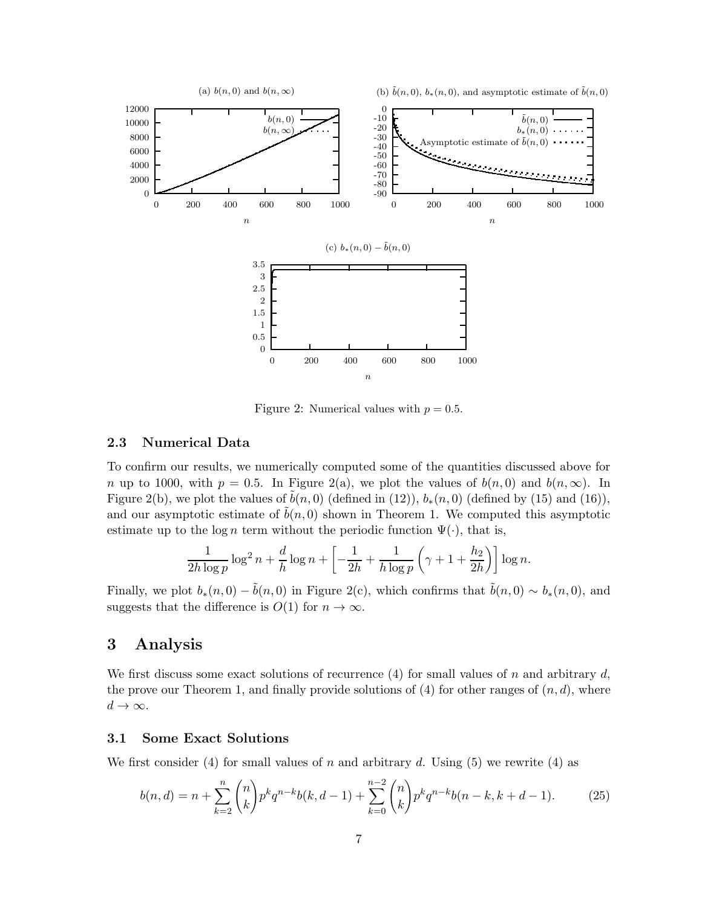

Figure 2: Numerical values with  $p = 0.5$ .

### 2.3 Numerical Data

To confirm our results, we numerically computed some of the quantities discussed above for n up to 1000, with  $p = 0.5$ . In Figure 2(a), we plot the values of  $b(n, 0)$  and  $b(n, \infty)$ . In Figure 2(b), we plot the values of  $\tilde{b}(n, 0)$  (defined in (12)),  $b_*(n, 0)$  (defined by (15) and (16)), and our asymptotic estimate of  $b(n, 0)$  shown in Theorem 1. We computed this asymptotic estimate up to the log n term without the periodic function  $\Psi(\cdot)$ , that is,

$$
\frac{1}{2h\log p}\log^2 n + \frac{d}{h}\log n + \left[-\frac{1}{2h} + \frac{1}{h\log p}\left(\gamma + 1 + \frac{h_2}{2h}\right)\right]\log n.
$$

Finally, we plot  $b_*(n, 0) - \tilde{b}(n, 0)$  in Figure 2(c), which confirms that  $\tilde{b}(n, 0) \sim b_*(n, 0)$ , and suggests that the difference is  $O(1)$  for  $n \to \infty$ .

# 3 Analysis

We first discuss some exact solutions of recurrence  $(4)$  for small values of n and arbitrary d, the prove our Theorem 1, and finally provide solutions of  $(4)$  for other ranges of  $(n, d)$ , where  $d \to \infty$ .

### 3.1 Some Exact Solutions

We first consider (4) for small values of n and arbitrary d. Using (5) we rewrite (4) as

$$
b(n,d) = n + \sum_{k=2}^{n} {n \choose k} p^k q^{n-k} b(k, d-1) + \sum_{k=0}^{n-2} {n \choose k} p^k q^{n-k} b(n-k, k+d-1).
$$
 (25)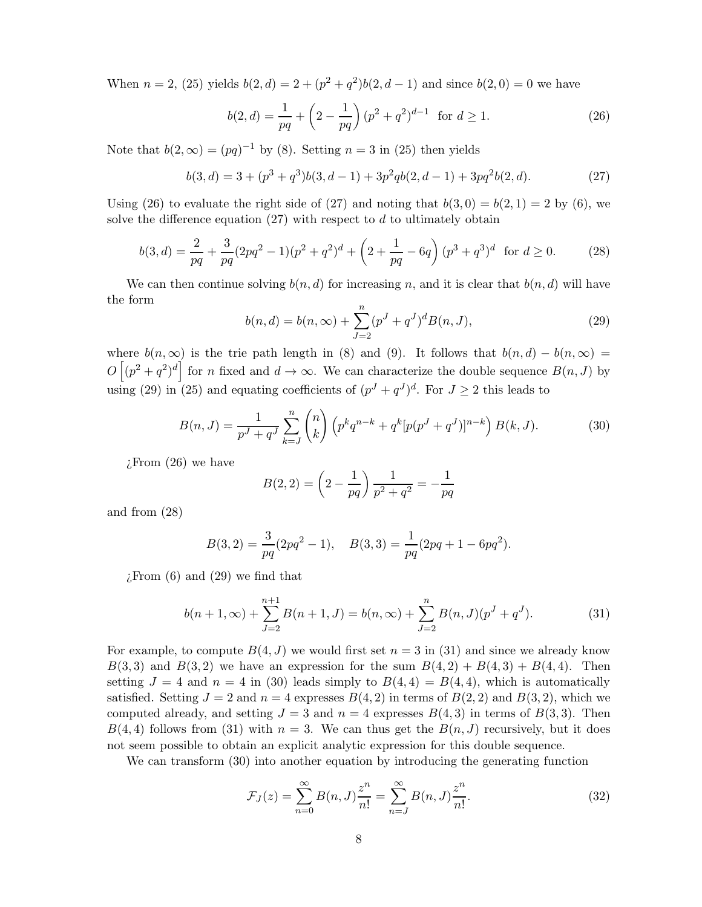When  $n = 2$ , (25) yields  $b(2, d) = 2 + (p^2 + q^2)b(2, d - 1)$  and since  $b(2, 0) = 0$  we have

$$
b(2,d) = \frac{1}{pq} + \left(2 - \frac{1}{pq}\right)(p^2 + q^2)^{d-1} \text{ for } d \ge 1.
$$
 (26)

Note that  $b(2,\infty) = (pq)^{-1}$  by (8). Setting  $n = 3$  in (25) then yields

$$
b(3,d) = 3 + (p^3 + q^3)b(3,d-1) + 3p^2qb(2,d-1) + 3pq^2b(2,d).
$$
 (27)

Using (26) to evaluate the right side of (27) and noting that  $b(3, 0) = b(2, 1) = 2$  by (6), we solve the difference equation  $(27)$  with respect to d to ultimately obtain

$$
b(3,d) = \frac{2}{pq} + \frac{3}{pq}(2pq^2 - 1)(p^2 + q^2)^d + \left(2 + \frac{1}{pq} - 6q\right)(p^3 + q^3)^d \text{ for } d \ge 0.
$$
 (28)

We can then continue solving  $b(n, d)$  for increasing n, and it is clear that  $b(n, d)$  will have the form

$$
b(n,d) = b(n,\infty) + \sum_{J=2}^{n} (p^J + q^J)^d B(n,J),
$$
\n(29)

where  $b(n,\infty)$  is the trie path length in (8) and (9). It follows that  $b(n,d) - b(n,\infty) =$  $O[(p^2+q^2)^d]$  for n fixed and  $d\to\infty$ . We can characterize the double sequence  $B(n, J)$  by using (29) in (25) and equating coefficients of  $(p^J + q^J)^d$ . For  $J \ge 2$  this leads to

$$
B(n,J) = \frac{1}{p^J + q^J} \sum_{k=J}^{n} {n \choose k} \left( p^k q^{n-k} + q^k [p(p^J + q^J)]^{n-k} \right) B(k,J). \tag{30}
$$

¿From (26) we have

$$
B(2,2) = \left(2 - \frac{1}{pq}\right) \frac{1}{p^2 + q^2} = -\frac{1}{pq}
$$

and from (28)

$$
B(3,2) = \frac{3}{pq}(2pq^2 - 1), \quad B(3,3) = \frac{1}{pq}(2pq + 1 - 6pq^2).
$$

 $i$ : From  $(6)$  and  $(29)$  we find that

$$
b(n+1,\infty) + \sum_{J=2}^{n+1} B(n+1,J) = b(n,\infty) + \sum_{J=2}^{n} B(n,J)(p^{J} + q^{J}).
$$
\n(31)

For example, to compute  $B(4, J)$  we would first set  $n = 3$  in (31) and since we already know  $B(3,3)$  and  $B(3,2)$  we have an expression for the sum  $B(4,2) + B(4,3) + B(4,4)$ . Then setting  $J = 4$  and  $n = 4$  in (30) leads simply to  $B(4, 4) = B(4, 4)$ , which is automatically satisfied. Setting  $J = 2$  and  $n = 4$  expresses  $B(4, 2)$  in terms of  $B(2, 2)$  and  $B(3, 2)$ , which we computed already, and setting  $J = 3$  and  $n = 4$  expresses  $B(4,3)$  in terms of  $B(3,3)$ . Then  $B(4, 4)$  follows from (31) with  $n = 3$ . We can thus get the  $B(n, J)$  recursively, but it does not seem possible to obtain an explicit analytic expression for this double sequence.

We can transform (30) into another equation by introducing the generating function

$$
\mathcal{F}_J(z) = \sum_{n=0}^{\infty} B(n, J) \frac{z^n}{n!} = \sum_{n=J}^{\infty} B(n, J) \frac{z^n}{n!}.
$$
 (32)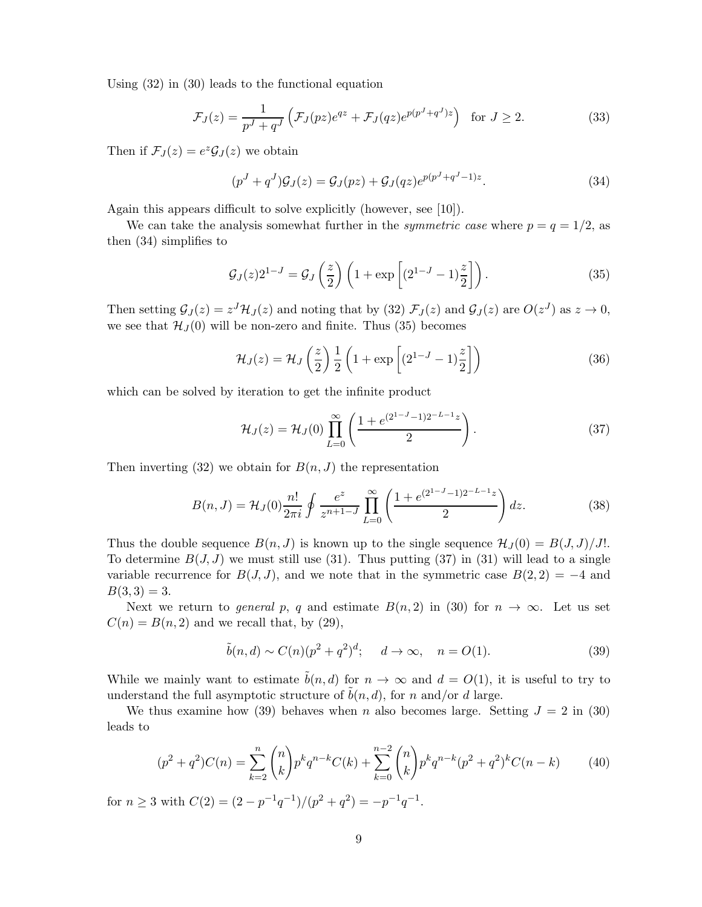Using (32) in (30) leads to the functional equation

$$
\mathcal{F}_J(z) = \frac{1}{p^J + q^J} \left( \mathcal{F}_J(pz) e^{qz} + \mathcal{F}_J(qz) e^{p(p^J + q^J)z} \right) \text{ for } J \ge 2.
$$
 (33)

Then if  $\mathcal{F}_J(z) = e^z \mathcal{G}_J(z)$  we obtain

$$
(pJ + qJ)\mathcal{G}_J(z) = \mathcal{G}_J(pz) + \mathcal{G}_J(qz)e^{p(pJ + qJ - 1)z}.
$$
\n(34)

Again this appears difficult to solve explicitly (however, see [10]).

We can take the analysis somewhat further in the *symmetric case* where  $p = q = 1/2$ , as then (34) simplifies to

$$
\mathcal{G}_J(z)2^{1-J} = \mathcal{G}_J\left(\frac{z}{2}\right)\left(1 + \exp\left[(2^{1-J}-1)\frac{z}{2}\right]\right). \tag{35}
$$

Then setting  $\mathcal{G}_J(z) = z^J \mathcal{H}_J(z)$  and noting that by (32)  $\mathcal{F}_J(z)$  and  $\mathcal{G}_J(z)$  are  $O(z^J)$  as  $z \to 0$ , we see that  $\mathcal{H}_{J}(0)$  will be non-zero and finite. Thus (35) becomes

$$
\mathcal{H}_J(z) = \mathcal{H}_J\left(\frac{z}{2}\right) \frac{1}{2} \left(1 + \exp\left[(2^{1-J} - 1)\frac{z}{2}\right]\right) \tag{36}
$$

which can be solved by iteration to get the infinite product

$$
\mathcal{H}_J(z) = \mathcal{H}_J(0) \prod_{L=0}^{\infty} \left( \frac{1 + e^{(2^{1-J}-1)2^{-L-1}z}}{2} \right).
$$
 (37)

Then inverting  $(32)$  we obtain for  $B(n, J)$  the representation

$$
B(n,J) = \mathcal{H}_J(0) \frac{n!}{2\pi i} \oint \frac{e^z}{z^{n+1-J}} \prod_{L=0}^{\infty} \left( \frac{1 + e^{(2^{1-J}-1)2^{-L-1}z}}{2} \right) dz.
$$
 (38)

Thus the double sequence  $B(n, J)$  is known up to the single sequence  $\mathcal{H}_J(0) = B(J, J)/J!$ . To determine  $B(J, J)$  we must still use (31). Thus putting (37) in (31) will lead to a single variable recurrence for  $B(J, J)$ , and we note that in the symmetric case  $B(2, 2) = -4$  and  $B(3,3) = 3.$ 

Next we return to *general* p, q and estimate  $B(n, 2)$  in (30) for  $n \to \infty$ . Let us set  $C(n) = B(n, 2)$  and we recall that, by (29),

$$
\tilde{b}(n,d) \sim C(n)(p^2 + q^2)^d; \quad d \to \infty, \quad n = O(1). \tag{39}
$$

While we mainly want to estimate  $\tilde{b}(n, d)$  for  $n \to \infty$  and  $d = O(1)$ , it is useful to try to understand the full asymptotic structure of  $b(n, d)$ , for n and/or d large.

We thus examine how (39) behaves when n also becomes large. Setting  $J = 2$  in (30) leads to

$$
(p^2 + q^2)C(n) = \sum_{k=2}^{n} {n \choose k} p^k q^{n-k} C(k) + \sum_{k=0}^{n-2} {n \choose k} p^k q^{n-k} (p^2 + q^2)^k C(n-k)
$$
(40)

for  $n \geq 3$  with  $C(2) = (2 - p^{-1}q^{-1})/(p^2 + q^2) = -p^{-1}q^{-1}$ .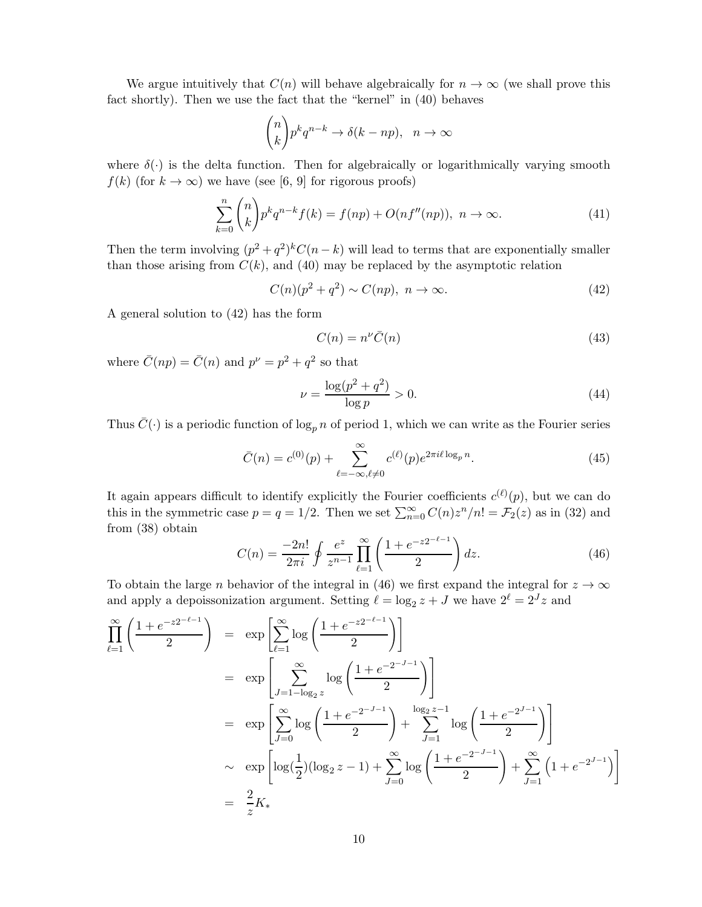We argue intuitively that  $C(n)$  will behave algebraically for  $n \to \infty$  (we shall prove this fact shortly). Then we use the fact that the "kernel" in (40) behaves

$$
\binom{n}{k}p^kq^{n-k}\to \delta(k-np),\ \ n\to\infty
$$

where  $\delta(\cdot)$  is the delta function. Then for algebraically or logarithmically varying smooth  $f(k)$  (for  $k \to \infty$ ) we have (see [6, 9] for rigorous proofs)

$$
\sum_{k=0}^{n} \binom{n}{k} p^k q^{n-k} f(k) = f(np) + O(n f''(np)), \ n \to \infty.
$$
\n(41)

Then the term involving  $(p^2 + q^2)^k C(n - k)$  will lead to terms that are exponentially smaller than those arising from  $C(k)$ , and (40) may be replaced by the asymptotic relation

$$
C(n)(p2 + q2) \sim C(np), \ n \to \infty.
$$
 (42)

A general solution to (42) has the form

$$
C(n) = n^{\nu} \bar{C}(n) \tag{43}
$$

where  $\bar{C}(np) = \bar{C}(n)$  and  $p^{\nu} = p^2 + q^2$  so that

$$
\nu = \frac{\log(p^2 + q^2)}{\log p} > 0.
$$
\n(44)

Thus  $\bar{C}(\cdot)$  is a periodic function of  $\log_p n$  of period 1, which we can write as the Fourier series

$$
\bar{C}(n) = c^{(0)}(p) + \sum_{\ell=-\infty,\ell \neq 0}^{\infty} c^{(\ell)}(p) e^{2\pi i \ell \log_p n}.
$$
\n(45)

It again appears difficult to identify explicitly the Fourier coefficients  $c^{(\ell)}(p)$ , but we can do this in the symmetric case  $p = q = 1/2$ . Then we set  $\sum_{n=0}^{\infty} C(n)z^n/n! = \mathcal{F}_2(z)$  as in (32) and from (38) obtain

$$
C(n) = \frac{-2n!}{2\pi i} \oint \frac{e^z}{z^{n-1}} \prod_{\ell=1}^{\infty} \left( \frac{1 + e^{-z2^{-\ell-1}}}{2} \right) dz.
$$
 (46)

To obtain the large *n* behavior of the integral in (46) we first expand the integral for  $z \to \infty$ and apply a depoissonization argument. Setting  $\ell = \log_2 z + J$  we have  $2^{\ell} = 2^{J} z$  and

$$
\prod_{\ell=1}^{\infty} \left( \frac{1+e^{-z2^{-\ell-1}}}{2} \right) = \exp \left[ \sum_{\ell=1}^{\infty} \log \left( \frac{1+e^{-z2^{-\ell-1}}}{2} \right) \right]
$$
\n
$$
= \exp \left[ \sum_{J=1-\log_2 z}^{\infty} \log \left( \frac{1+e^{-2^{-J-1}}}{2} \right) \right]
$$
\n
$$
= \exp \left[ \sum_{J=0}^{\infty} \log \left( \frac{1+e^{-2^{-J-1}}}{2} \right) + \sum_{J=1}^{\log_2 z - 1} \log \left( \frac{1+e^{-2^{J-1}}}{2} \right) \right]
$$
\n
$$
\sim \exp \left[ \log(\frac{1}{2}) (\log_2 z - 1) + \sum_{J=0}^{\infty} \log \left( \frac{1+e^{-2^{-J-1}}}{2} \right) + \sum_{J=1}^{\infty} \left( 1+e^{-2^{J-1}} \right) \right]
$$
\n
$$
= \frac{2}{z} K_*
$$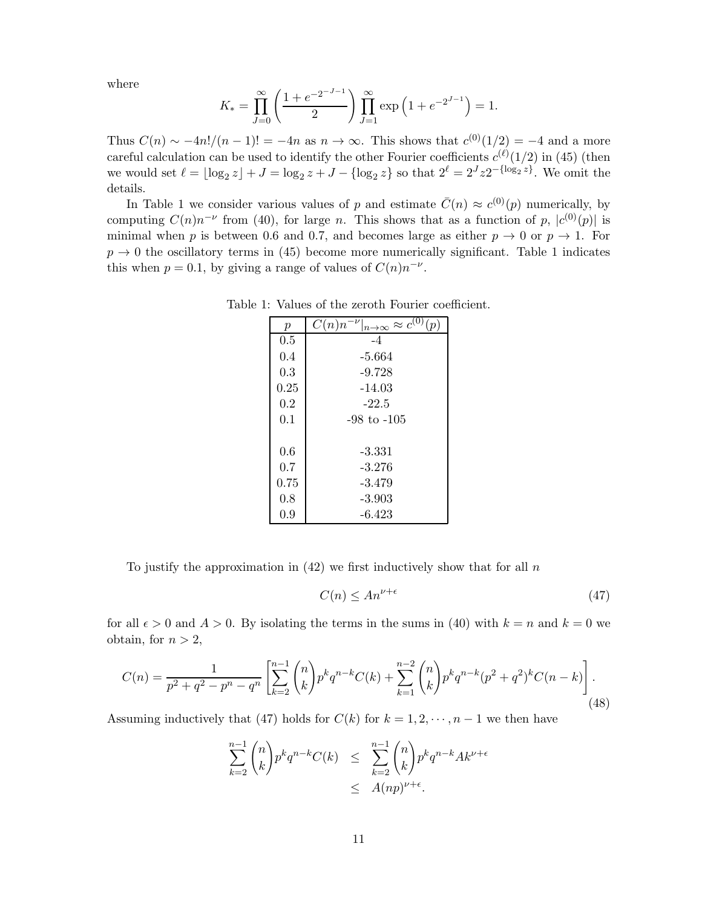where

$$
K_{*} = \prod_{J=0}^{\infty} \left( \frac{1 + e^{-2-J-1}}{2} \right) \prod_{J=1}^{\infty} \exp\left(1 + e^{-2^{J-1}}\right) = 1.
$$

Thus  $C(n) \sim -4n!/(n-1)! = -4n$  as  $n \to \infty$ . This shows that  $c^{(0)}(1/2) = -4$  and a more careful calculation can be used to identify the other Fourier coefficients  $c^{(\ell)}(1/2)$  in (45) (then we would set  $\ell = \lfloor \log_2 z \rfloor + J = \log_2 z + J - \{\log_2 z\}$  so that  $2^{\ell} = 2^{J} z 2^{-\{\log_2 z\}}$ . We omit the details.

In Table 1 we consider various values of p and estimate  $\bar{C}(n) \approx c^{(0)}(p)$  numerically, by computing  $C(n)n^{-\nu}$  from (40), for large n. This shows that as a function of p,  $|c^{(0)}(p)|$  is minimal when p is between 0.6 and 0.7, and becomes large as either  $p \to 0$  or  $p \to 1$ . For  $p \rightarrow 0$  the oscillatory terms in (45) become more numerically significant. Table 1 indicates this when  $p = 0.1$ , by giving a range of values of  $C(n)n^{-\nu}$ .

| $\boldsymbol{p}$ | $C(n)n^{-\nu} _{n\to\infty}\approx c^{(0)}$<br>(p) |  |
|------------------|----------------------------------------------------|--|
| 0.5              | -4                                                 |  |
| 0.4              | $-5.664$                                           |  |
| 0.3              | $-9.728$                                           |  |
| 0.25             | $-14.03$                                           |  |
| 0.2              | $-22.5$                                            |  |
| 0.1              | -98 to -105                                        |  |
|                  |                                                    |  |
| 0.6              | -3.331                                             |  |
| 0.7              | $-3.276$                                           |  |
| 0.75             | -3.479                                             |  |
| 0.8              | $-3.903$                                           |  |
| 0.9              | $-6.423$                                           |  |

Table 1: Values of the zeroth Fourier coefficient.

To justify the approximation in  $(42)$  we first inductively show that for all n

$$
C(n) \le An^{\nu + \epsilon} \tag{47}
$$

for all  $\epsilon > 0$  and  $A > 0$ . By isolating the terms in the sums in (40) with  $k = n$  and  $k = 0$  we obtain, for  $n > 2$ ,

$$
C(n) = \frac{1}{p^2 + q^2 - p^n - q^n} \left[ \sum_{k=2}^{n-1} {n \choose k} p^k q^{n-k} C(k) + \sum_{k=1}^{n-2} {n \choose k} p^k q^{n-k} (p^2 + q^2)^k C(n-k) \right].
$$
\n(48)

Assuming inductively that (47) holds for  $C(k)$  for  $k = 1, 2, \dots, n - 1$  we then have

$$
\sum_{k=2}^{n-1} {n \choose k} p^k q^{n-k} C(k) \leq \sum_{k=2}^{n-1} {n \choose k} p^k q^{n-k} A k^{\nu+\epsilon}
$$
  

$$
\leq A(np)^{\nu+\epsilon}.
$$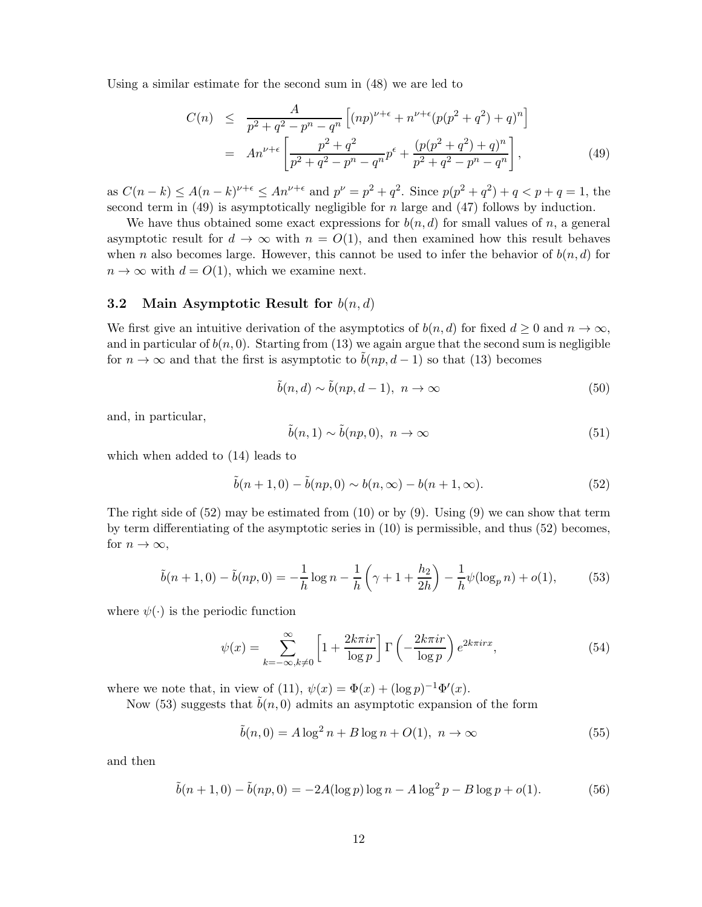Using a similar estimate for the second sum in (48) we are led to

$$
C(n) \leq \frac{A}{p^2 + q^2 - p^n - q^n} \left[ (np)^{\nu + \epsilon} + n^{\nu + \epsilon} (p(p^2 + q^2) + q)^n \right]
$$
  
= 
$$
An^{\nu + \epsilon} \left[ \frac{p^2 + q^2}{p^2 + q^2 - p^n - q^n} p^{\epsilon} + \frac{(p(p^2 + q^2) + q)^n}{p^2 + q^2 - p^n - q^n} \right],
$$
 (49)

as  $C(n-k) \leq A(n-k)^{\nu+\epsilon} \leq An^{\nu+\epsilon}$  and  $p^{\nu} = p^2 + q^2$ . Since  $p(p^2 + q^2) + q < p + q = 1$ , the second term in  $(49)$  is asymptotically negligible for *n* large and  $(47)$  follows by induction.

We have thus obtained some exact expressions for  $b(n, d)$  for small values of n, a general asymptotic result for  $d \to \infty$  with  $n = O(1)$ , and then examined how this result behaves when n also becomes large. However, this cannot be used to infer the behavior of  $b(n, d)$  for  $n \to \infty$  with  $d = O(1)$ , which we examine next.

#### 3.2 Main Asymptotic Result for  $b(n,d)$

We first give an intuitive derivation of the asymptotics of  $b(n, d)$  for fixed  $d \geq 0$  and  $n \to \infty$ , and in particular of  $b(n, 0)$ . Starting from (13) we again argue that the second sum is negligible for  $n \to \infty$  and that the first is asymptotic to  $b(np, d-1)$  so that (13) becomes

$$
\tilde{b}(n,d) \sim \tilde{b}(np, d-1), \ n \to \infty \tag{50}
$$

and, in particular,

$$
\tilde{b}(n,1) \sim \tilde{b}(np,0), \ n \to \infty \tag{51}
$$

which when added to (14) leads to

$$
\tilde{b}(n+1,0) - \tilde{b}(np,0) \sim b(n,\infty) - b(n+1,\infty).
$$
 (52)

The right side of  $(52)$  may be estimated from  $(10)$  or by  $(9)$ . Using  $(9)$  we can show that term by term differentiating of the asymptotic series in (10) is permissible, and thus (52) becomes, for  $n \to \infty$ ,

$$
\tilde{b}(n+1,0) - \tilde{b}(np,0) = -\frac{1}{h}\log n - \frac{1}{h}\left(\gamma + 1 + \frac{h_2}{2h}\right) - \frac{1}{h}\psi(\log_p n) + o(1),\tag{53}
$$

where  $\psi(\cdot)$  is the periodic function

$$
\psi(x) = \sum_{k=-\infty, k \neq 0}^{\infty} \left[ 1 + \frac{2k\pi i r}{\log p} \right] \Gamma\left(-\frac{2k\pi i r}{\log p}\right) e^{2k\pi i r x},\tag{54}
$$

where we note that, in view of (11),  $\psi(x) = \Phi(x) + (\log p)^{-1} \Phi'(x)$ .

Now (53) suggests that  $b(n, 0)$  admits an asymptotic expansion of the form

$$
\tilde{b}(n,0) = A \log^2 n + B \log n + O(1), \ n \to \infty \tag{55}
$$

and then

$$
\tilde{b}(n+1,0) - \tilde{b}(np,0) = -2A(\log p) \log n - A \log^2 p - B \log p + o(1). \tag{56}
$$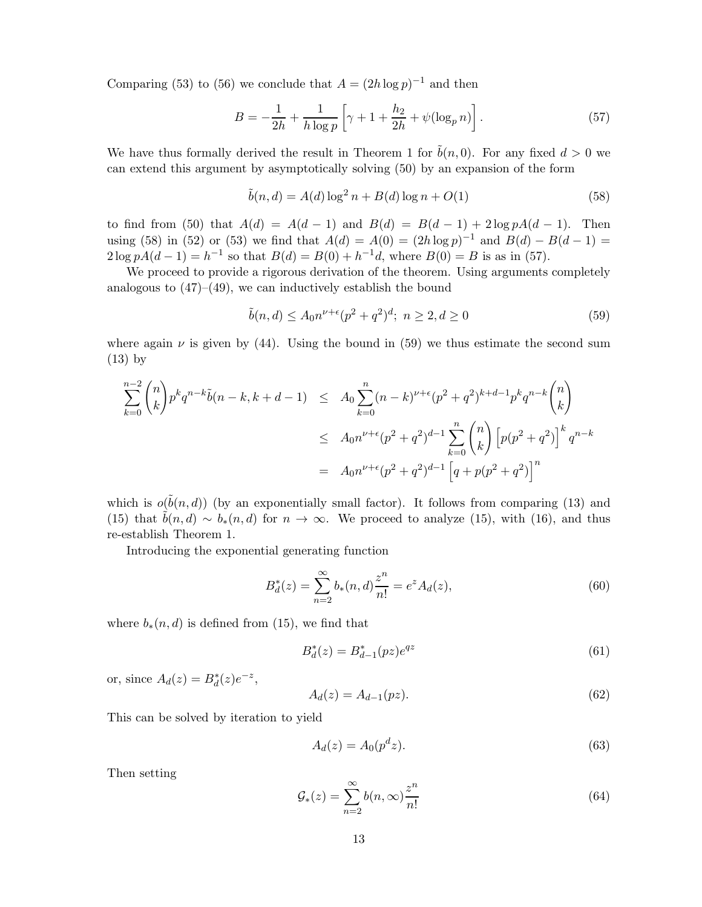Comparing (53) to (56) we conclude that  $A = (2h \log p)^{-1}$  and then

$$
B = -\frac{1}{2h} + \frac{1}{h \log p} \left[ \gamma + 1 + \frac{h_2}{2h} + \psi(\log_p n) \right].
$$
 (57)

We have thus formally derived the result in Theorem 1 for  $\tilde{b}(n, 0)$ . For any fixed  $d > 0$  we can extend this argument by asymptotically solving (50) by an expansion of the form

$$
\tilde{b}(n,d) = A(d) \log^2 n + B(d) \log n + O(1)
$$
\n(58)

to find from (50) that  $A(d) = A(d-1)$  and  $B(d) = B(d-1) + 2 \log p A(d-1)$ . Then using (58) in (52) or (53) we find that  $A(d) = A(0) = (2h \log p)^{-1}$  and  $B(d) - B(d-1) =$  $2 \log pA(d-1) = h^{-1}$  so that  $B(d) = B(0) + h^{-1}d$ , where  $B(0) = B$  is as in (57).

We proceed to provide a rigorous derivation of the theorem. Using arguments completely analogous to  $(47)$ – $(49)$ , we can inductively establish the bound

$$
\tilde{b}(n, d) \le A_0 n^{\nu + \epsilon} (p^2 + q^2)^d; \ n \ge 2, d \ge 0
$$
\n(59)

where again  $\nu$  is given by (44). Using the bound in (59) we thus estimate the second sum (13) by

$$
\sum_{k=0}^{n-2} \binom{n}{k} p^k q^{n-k} \tilde{b}(n-k, k+d-1) \leq A_0 \sum_{k=0}^n (n-k)^{\nu+\epsilon} (p^2 + q^2)^{k+d-1} p^k q^{n-k} \binom{n}{k}
$$
  

$$
\leq A_0 n^{\nu+\epsilon} (p^2 + q^2)^{d-1} \sum_{k=0}^n \binom{n}{k} \left[ p(p^2 + q^2) \right]^k q^{n-k}
$$
  

$$
= A_0 n^{\nu+\epsilon} (p^2 + q^2)^{d-1} \left[ q + p(p^2 + q^2) \right]^n
$$

which is  $o(\tilde{b}(n, d))$  (by an exponentially small factor). It follows from comparing (13) and (15) that  $\tilde{b}(n, d) \sim b_*(n, d)$  for  $n \to \infty$ . We proceed to analyze (15), with (16), and thus re-establish Theorem 1.

Introducing the exponential generating function

$$
B_d^*(z) = \sum_{n=2}^{\infty} b_*(n, d) \frac{z^n}{n!} = e^z A_d(z),
$$
\n(60)

where  $b_*(n, d)$  is defined from (15), we find that

$$
B_d^*(z) = B_{d-1}^*(pz)e^{qz}
$$
\n(61)

or, since  $A_d(z) = B_d^*(z)e^{-z}$ ,

$$
A_d(z) = A_{d-1}(pz).
$$
 (62)

This can be solved by iteration to yield

$$
A_d(z) = A_0(p^d z). \tag{63}
$$

Then setting

$$
\mathcal{G}_*(z) = \sum_{n=2}^{\infty} b(n,\infty) \frac{z^n}{n!}
$$
 (64)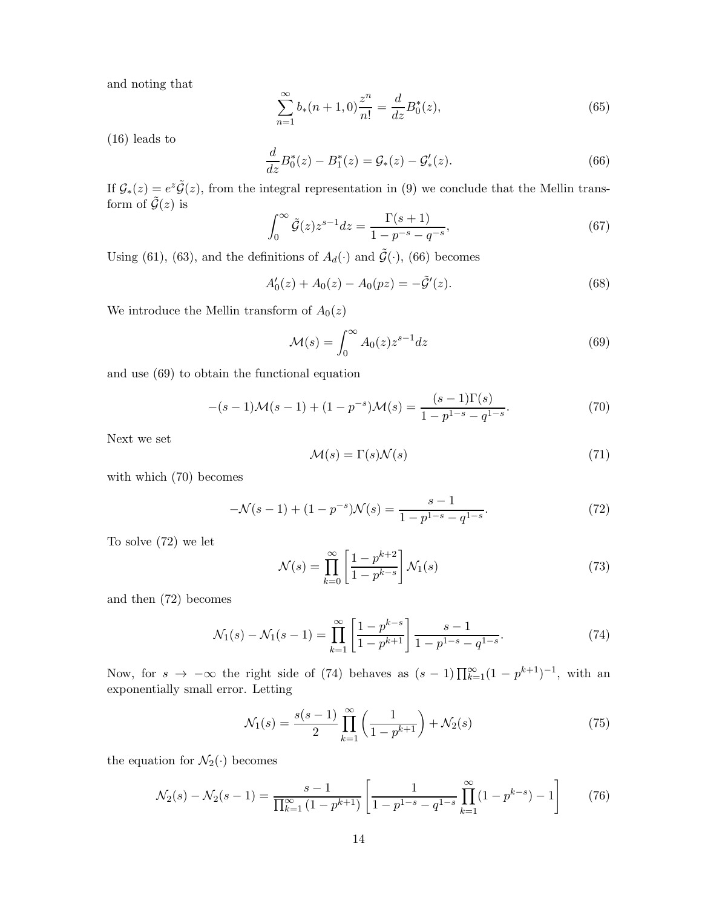and noting that

$$
\sum_{n=1}^{\infty} b_*(n+1,0) \frac{z^n}{n!} = \frac{d}{dz} B_0^*(z),\tag{65}
$$

(16) leads to

$$
\frac{d}{dz}B_0^*(z) - B_1^*(z) = \mathcal{G}_*(z) - \mathcal{G}'_*(z). \tag{66}
$$

If  $\mathcal{G}_*(z) = e^z \tilde{\mathcal{G}}(z)$ , from the integral representation in (9) we conclude that the Mellin transform of  $\tilde{G}(z)$  is

$$
\int_0^\infty \tilde{\mathcal{G}}(z) z^{s-1} dz = \frac{\Gamma(s+1)}{1 - p^{-s} - q^{-s}},\tag{67}
$$

Using (61), (63), and the definitions of  $A_d(\cdot)$  and  $\tilde{\mathcal{G}}(\cdot)$ , (66) becomes

$$
A'_0(z) + A_0(z) - A_0(pz) = -\tilde{\mathcal{G}}'(z). \tag{68}
$$

We introduce the Mellin transform of  $A_0(z)$ 

$$
\mathcal{M}(s) = \int_0^\infty A_0(z) z^{s-1} dz \tag{69}
$$

and use (69) to obtain the functional equation

$$
-(s-1)\mathcal{M}(s-1) + (1 - p^{-s})\mathcal{M}(s) = \frac{(s-1)\Gamma(s)}{1 - p^{1-s} - q^{1-s}}.
$$
\n(70)

Next we set

$$
\mathcal{M}(s) = \Gamma(s)\mathcal{N}(s) \tag{71}
$$

with which (70) becomes

$$
-\mathcal{N}(s-1) + (1 - p^{-s})\mathcal{N}(s) = \frac{s-1}{1 - p^{1-s} - q^{1-s}}.\tag{72}
$$

To solve (72) we let

$$
\mathcal{N}(s) = \prod_{k=0}^{\infty} \left[ \frac{1 - p^{k+2}}{1 - p^{k-s}} \right] \mathcal{N}_1(s) \tag{73}
$$

and then (72) becomes

$$
\mathcal{N}_1(s) - \mathcal{N}_1(s-1) = \prod_{k=1}^{\infty} \left[ \frac{1 - p^{k-s}}{1 - p^{k+1}} \right] \frac{s-1}{1 - p^{1-s} - q^{1-s}}.
$$
\n(74)

Now, for  $s \to -\infty$  the right side of (74) behaves as  $(s-1)\prod_{k=1}^{\infty}(1-p^{k+1})^{-1}$ , with an exponentially small error. Letting

$$
\mathcal{N}_1(s) = \frac{s(s-1)}{2} \prod_{k=1}^{\infty} \left( \frac{1}{1 - p^{k+1}} \right) + \mathcal{N}_2(s)
$$
\n(75)

the equation for  $\mathcal{N}_2(\cdot)$  becomes

$$
\mathcal{N}_2(s) - \mathcal{N}_2(s-1) = \frac{s-1}{\prod_{k=1}^{\infty} (1 - p^{k+1})} \left[ \frac{1}{1 - p^{1-s} - q^{1-s}} \prod_{k=1}^{\infty} (1 - p^{k-s}) - 1 \right] \tag{76}
$$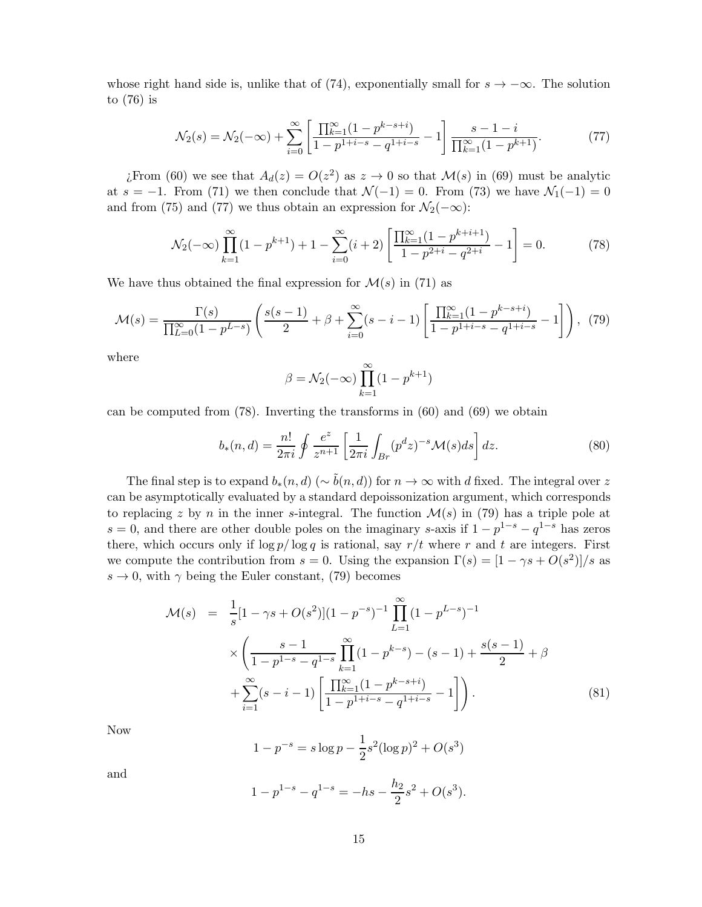whose right hand side is, unlike that of (74), exponentially small for  $s \to -\infty$ . The solution to (76) is

$$
\mathcal{N}_2(s) = \mathcal{N}_2(-\infty) + \sum_{i=0}^{\infty} \left[ \frac{\prod_{k=1}^{\infty} (1 - p^{k-s+i})}{1 - p^{1+i-s} - q^{1+i-s}} - 1 \right] \frac{s - 1 - i}{\prod_{k=1}^{\infty} (1 - p^{k+1})}.
$$
 (77)

¿From (60) we see that  $A_d(z) = O(z^2)$  as  $z \to 0$  so that  $\mathcal{M}(s)$  in (69) must be analytic at s = −1. From (71) we then conclude that  $\mathcal{N}(-1) = 0$ . From (73) we have  $\mathcal{N}_1(-1) = 0$ and from (75) and (77) we thus obtain an expression for  $\mathcal{N}_2(-\infty)$ :

$$
\mathcal{N}_2(-\infty) \prod_{k=1}^{\infty} (1 - p^{k+1}) + 1 - \sum_{i=0}^{\infty} (i+2) \left[ \frac{\prod_{k=1}^{\infty} (1 - p^{k+i+1})}{1 - p^{2+i} - q^{2+i}} - 1 \right] = 0. \tag{78}
$$

We have thus obtained the final expression for  $\mathcal{M}(s)$  in (71) as

$$
\mathcal{M}(s) = \frac{\Gamma(s)}{\prod_{L=0}^{\infty} (1 - p^{L-s})} \left( \frac{s(s-1)}{2} + \beta + \sum_{i=0}^{\infty} (s-i-1) \left[ \frac{\prod_{k=1}^{\infty} (1 - p^{k-s+i})}{1 - p^{1+i-s} - q^{1+i-s}} - 1 \right] \right), \tag{79}
$$

where

$$
\beta = \mathcal{N}_2(-\infty) \prod_{k=1}^{\infty} (1 - p^{k+1})
$$

can be computed from (78). Inverting the transforms in (60) and (69) we obtain

$$
b_*(n,d) = \frac{n!}{2\pi i} \oint \frac{e^z}{z^{n+1}} \left[ \frac{1}{2\pi i} \int_{Br} (p^d z)^{-s} \mathcal{M}(s) ds \right] dz.
$$
 (80)

The final step is to expand  $b_*(n, d)$  ( $\sim \tilde{b}(n, d)$ ) for  $n \to \infty$  with d fixed. The integral over z can be asymptotically evaluated by a standard depoissonization argument, which corresponds to replacing z by n in the inner s-integral. The function  $\mathcal{M}(s)$  in (79) has a triple pole at  $s = 0$ , and there are other double poles on the imaginary s-axis if  $1 - p^{1-s} - q^{1-s}$  has zeros there, which occurs only if  $\log p / \log q$  is rational, say  $r/t$  where r and t are integers. First we compute the contribution from  $s = 0$ . Using the expansion  $\Gamma(s) = \frac{1 - \gamma s + O(s^2)}{s}$  as  $s \to 0$ , with  $\gamma$  being the Euler constant, (79) becomes

$$
\mathcal{M}(s) = \frac{1}{s} [1 - \gamma s + O(s^2)] (1 - p^{-s})^{-1} \prod_{L=1}^{\infty} (1 - p^{L-s})^{-1}
$$
  
 
$$
\times \left( \frac{s - 1}{1 - p^{1 - s} - q^{1 - s}} \prod_{k=1}^{\infty} (1 - p^{k - s}) - (s - 1) + \frac{s(s - 1)}{2} + \beta + \sum_{i=1}^{\infty} (s - i - 1) \left[ \frac{\prod_{k=1}^{\infty} (1 - p^{k - s + i})}{1 - p^{1 + i - s} - q^{1 + i - s}} - 1 \right] \right). \tag{81}
$$

Now

$$
1 - p^{-s} = s \log p - \frac{1}{2} s^2 (\log p)^2 + O(s^3)
$$

and

$$
1 - p^{1-s} - q^{1-s} = -hs - \frac{h_2}{2}s^2 + O(s^3).
$$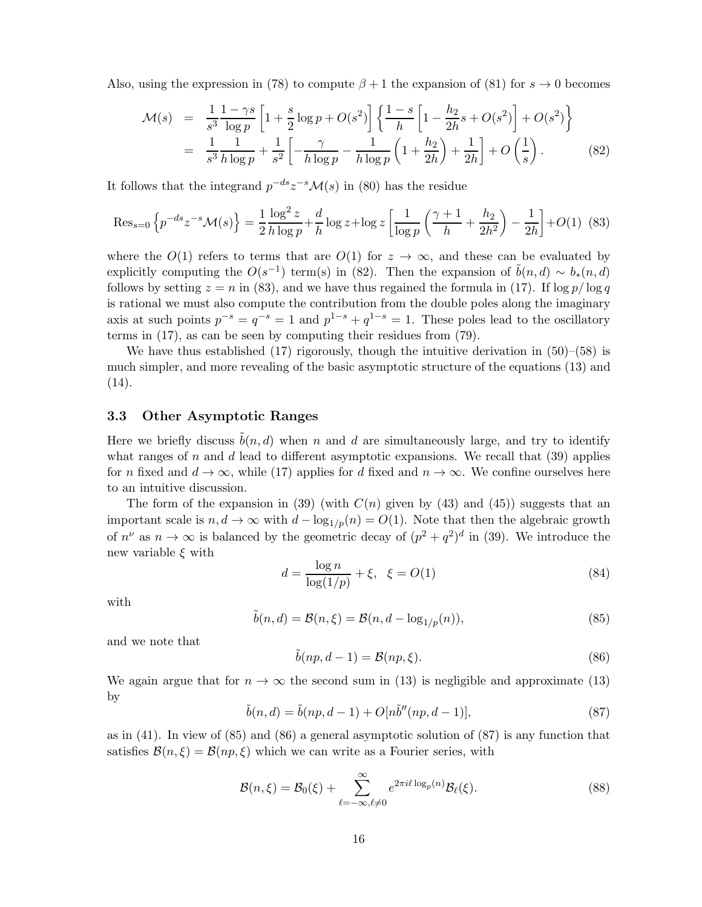Also, using the expression in (78) to compute  $\beta + 1$  the expansion of (81) for  $s \to 0$  becomes

$$
\mathcal{M}(s) = \frac{1}{s^3} \frac{1 - \gamma s}{\log p} \left[ 1 + \frac{s}{2} \log p + O(s^2) \right] \left\{ \frac{1 - s}{h} \left[ 1 - \frac{h_2}{2h} s + O(s^2) \right] + O(s^2) \right\}
$$
  
= 
$$
\frac{1}{s^3} \frac{1}{h \log p} + \frac{1}{s^2} \left[ -\frac{\gamma}{h \log p} - \frac{1}{h \log p} \left( 1 + \frac{h_2}{2h} \right) + \frac{1}{2h} \right] + O\left(\frac{1}{s}\right).
$$
 (82)

It follows that the integrand  $p^{-ds}z^{-s}\mathcal{M}(s)$  in (80) has the residue

$$
\text{Res}_{s=0} \left\{ p^{-ds} z^{-s} \mathcal{M}(s) \right\} = \frac{1}{2} \frac{\log^2 z}{h \log p} + \frac{d}{h} \log z + \log z \left[ \frac{1}{\log p} \left( \frac{\gamma + 1}{h} + \frac{h_2}{2h^2} \right) - \frac{1}{2h} \right] + O(1) \tag{83}
$$

where the  $O(1)$  refers to terms that are  $O(1)$  for  $z \to \infty$ , and these can be evaluated by explicitly computing the  $O(s^{-1})$  term(s) in (82). Then the expansion of  $\tilde{b}(n, d) \sim b_*(n, d)$ follows by setting  $z = n$  in (83), and we have thus regained the formula in (17). If  $\log p / \log q$ is rational we must also compute the contribution from the double poles along the imaginary axis at such points  $p^{-s} = q^{-s} = 1$  and  $p^{1-s} + q^{1-s} = 1$ . These poles lead to the oscillatory terms in (17), as can be seen by computing their residues from (79).

We have thus established  $(17)$  rigorously, though the intuitive derivation in  $(50)$ – $(58)$  is much simpler, and more revealing of the basic asymptotic structure of the equations (13) and  $(14).$ 

#### 3.3 Other Asymptotic Ranges

Here we briefly discuss  $\tilde{b}(n, d)$  when n and d are simultaneously large, and try to identify what ranges of n and d lead to different asymptotic expansions. We recall that  $(39)$  applies for n fixed and  $d \to \infty$ , while (17) applies for d fixed and  $n \to \infty$ . We confine ourselves here to an intuitive discussion.

The form of the expansion in (39) (with  $C(n)$  given by (43) and (45)) suggests that an important scale is  $n, d \to \infty$  with  $d - \log_{1/p}(n) = O(1)$ . Note that then the algebraic growth of  $n^{\nu}$  as  $n \to \infty$  is balanced by the geometric decay of  $(p^2 + q^2)^d$  in (39). We introduce the new variable  $\xi$  with

$$
d = \frac{\log n}{\log(1/p)} + \xi, \ \xi = O(1)
$$
\n(84)

with

$$
\tilde{b}(n,d) = \mathcal{B}(n,\xi) = \mathcal{B}(n,d - \log_{1/p}(n)),\tag{85}
$$

and we note that

$$
\tilde{b}(np, d-1) = \mathcal{B}(np, \xi). \tag{86}
$$

We again argue that for  $n \to \infty$  the second sum in (13) is negligible and approximate (13) by

$$
\tilde{b}(n,d) = \tilde{b}(np,d-1) + O[n\tilde{b}''(np,d-1)],
$$
\n(87)

as in (41). In view of (85) and (86) a general asymptotic solution of (87) is any function that satisfies  $\mathcal{B}(n,\xi) = \mathcal{B}(np,\xi)$  which we can write as a Fourier series, with

$$
\mathcal{B}(n,\xi) = \mathcal{B}_0(\xi) + \sum_{\ell=-\infty,\ell\neq 0}^{\infty} e^{2\pi i\ell \log_p(n)} \mathcal{B}_{\ell}(\xi).
$$
 (88)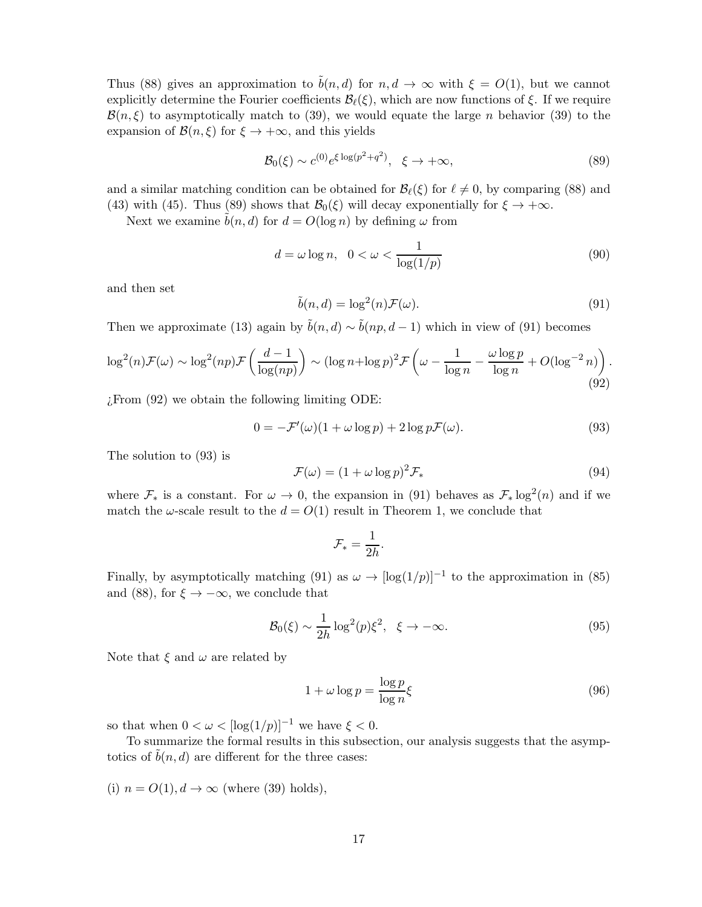Thus (88) gives an approximation to  $\tilde{b}(n, d)$  for  $n, d \to \infty$  with  $\xi = O(1)$ , but we cannot explicitly determine the Fourier coefficients  $\mathcal{B}_{\ell}(\xi)$ , which are now functions of  $\xi$ . If we require  $\mathcal{B}(n,\xi)$  to asymptotically match to (39), we would equate the large n behavior (39) to the expansion of  $\mathcal{B}(n,\xi)$  for  $\xi \to +\infty$ , and this yields

$$
\mathcal{B}_0(\xi) \sim c^{(0)} e^{\xi \log(p^2 + q^2)}, \quad \xi \to +\infty,
$$
\n(89)

and a similar matching condition can be obtained for  $\mathcal{B}_{\ell}(\xi)$  for  $\ell \neq 0$ , by comparing (88) and (43) with (45). Thus (89) shows that  $\mathcal{B}_0(\xi)$  will decay exponentially for  $\xi \to +\infty$ .

Next we examine  $\tilde{b}(n, d)$  for  $d = O(\log n)$  by defining  $\omega$  from

$$
d = \omega \log n, \quad 0 < \omega < \frac{1}{\log(1/p)}\tag{90}
$$

and then set

$$
\tilde{b}(n,d) = \log^2(n)\mathcal{F}(\omega). \tag{91}
$$

Then we approximate (13) again by  $\tilde{b}(n, d) \sim \tilde{b}(np, d - 1)$  which in view of (91) becomes

$$
\log^2(n)\mathcal{F}(\omega) \sim \log^2(np)\mathcal{F}\left(\frac{d-1}{\log(np)}\right) \sim (\log n + \log p)^2 \mathcal{F}\left(\omega - \frac{1}{\log n} - \frac{\omega \log p}{\log n} + O(\log^{-2} n)\right). \tag{92}
$$

 $i$ From (92) we obtain the following limiting ODE:

$$
0 = -\mathcal{F}'(\omega)(1 + \omega \log p) + 2 \log p\mathcal{F}(\omega).
$$
\n(93)

The solution to (93) is

$$
\mathcal{F}(\omega) = (1 + \omega \log p)^2 \mathcal{F}_* \tag{94}
$$

where  $\mathcal{F}_*$  is a constant. For  $\omega \to 0$ , the expansion in (91) behaves as  $\mathcal{F}_* \log^2(n)$  and if we match the  $\omega$ -scale result to the  $d = O(1)$  result in Theorem 1, we conclude that

$$
\mathcal{F}_* = \frac{1}{2h}.
$$

Finally, by asymptotically matching (91) as  $\omega \to [\log(1/p)]^{-1}$  to the approximation in (85) and (88), for  $\xi \to -\infty$ , we conclude that

$$
\mathcal{B}_0(\xi) \sim \frac{1}{2h} \log^2(p) \xi^2, \quad \xi \to -\infty. \tag{95}
$$

Note that  $\xi$  and  $\omega$  are related by

$$
1 + \omega \log p = \frac{\log p}{\log n} \xi \tag{96}
$$

so that when  $0 < \omega < [\log(1/p)]^{-1}$  we have  $\xi < 0$ .

To summarize the formal results in this subsection, our analysis suggests that the asymptotics of  $b(n, d)$  are different for the three cases:

(i)  $n = O(1), d \rightarrow \infty$  (where (39) holds),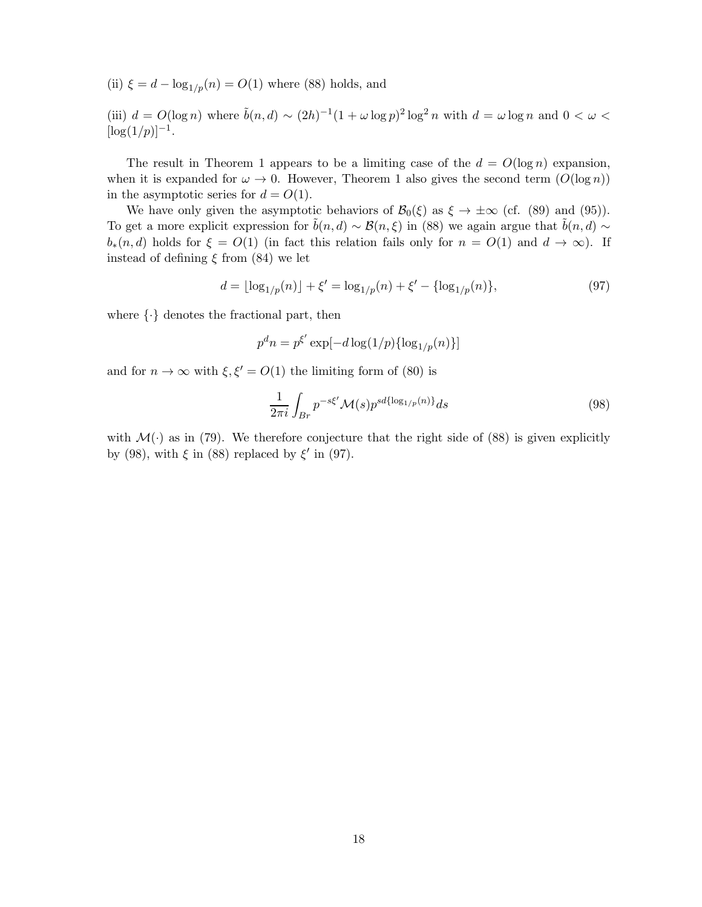(ii)  $\xi = d - \log_{1/p}(n) = O(1)$  where (88) holds, and

(iii)  $d = O(\log n)$  where  $\tilde{b}(n, d) \sim (2h)^{-1}(1 + \omega \log p)^2 \log^2 n$  with  $d = \omega \log n$  and  $0 < \omega <$  $[\log(1/p)]^{-1}$ .

The result in Theorem 1 appears to be a limiting case of the  $d = O(\log n)$  expansion, when it is expanded for  $\omega \to 0$ . However, Theorem 1 also gives the second term  $(O(\log n))$ in the asymptotic series for  $d = O(1)$ .

We have only given the asymptotic behaviors of  $\mathcal{B}_0(\xi)$  as  $\xi \to \pm \infty$  (cf. (89) and (95)). To get a more explicit expression for  $\tilde{b}(n, d) \sim \mathcal{B}(n, \xi)$  in (88) we again argue that  $\tilde{b}(n, d) \sim$  $b_*(n, d)$  holds for  $\xi = O(1)$  (in fact this relation fails only for  $n = O(1)$  and  $d \to \infty$ ). If instead of defining  $\xi$  from (84) we let

$$
d = \lfloor \log_{1/p}(n) \rfloor + \xi' = \log_{1/p}(n) + \xi' - \{\log_{1/p}(n)\},\tag{97}
$$

where  $\{\cdot\}$  denotes the fractional part, then

$$
p^dn = p^{\xi'}\exp[-d\log(1/p)\{\log_{1/p}(n)\}]
$$

and for  $n \to \infty$  with  $\xi, \xi' = O(1)$  the limiting form of (80) is

$$
\frac{1}{2\pi i} \int_{Br} p^{-s\xi'} \mathcal{M}(s) p^{sd\{\log_{1/p}(n)\}} ds \tag{98}
$$

with  $\mathcal{M}(\cdot)$  as in (79). We therefore conjecture that the right side of (88) is given explicitly by (98), with  $\xi$  in (88) replaced by  $\xi'$  in (97).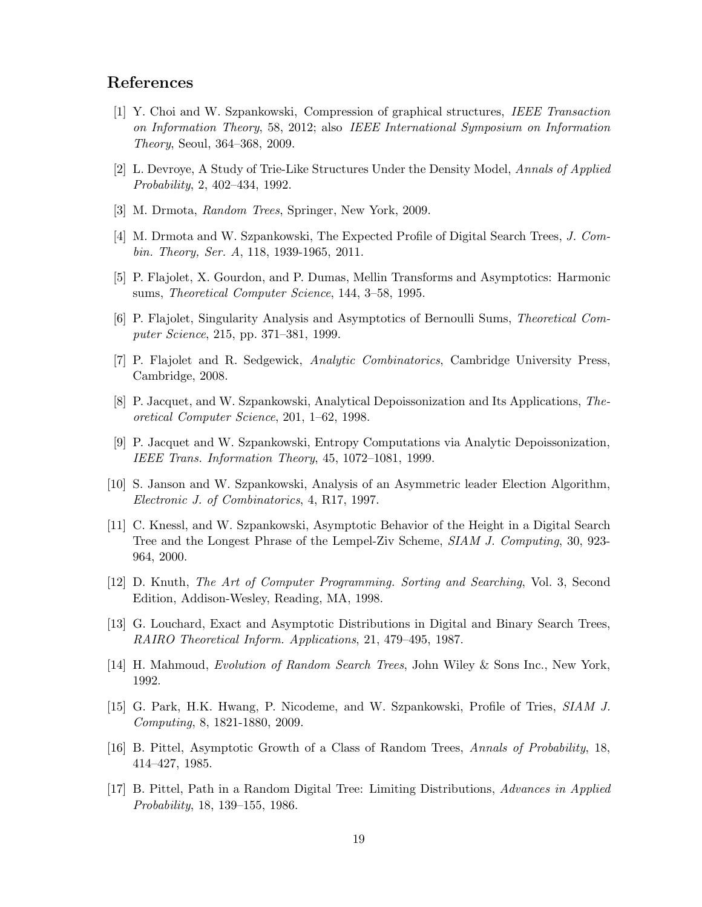## References

- [1] Y. Choi and W. Szpankowski, Compression of graphical structures, IEEE Transaction on Information Theory, 58, 2012; also IEEE International Symposium on Information Theory, Seoul, 364–368, 2009.
- [2] L. Devroye, A Study of Trie-Like Structures Under the Density Model, Annals of Applied Probability, 2, 402–434, 1992.
- [3] M. Drmota, Random Trees, Springer, New York, 2009.
- [4] M. Drmota and W. Szpankowski, The Expected Profile of Digital Search Trees, J. Combin. Theory, Ser. A, 118, 1939-1965, 2011.
- [5] P. Flajolet, X. Gourdon, and P. Dumas, Mellin Transforms and Asymptotics: Harmonic sums, Theoretical Computer Science, 144, 3–58, 1995.
- [6] P. Flajolet, Singularity Analysis and Asymptotics of Bernoulli Sums, Theoretical Computer Science, 215, pp. 371–381, 1999.
- [7] P. Flajolet and R. Sedgewick, Analytic Combinatorics, Cambridge University Press, Cambridge, 2008.
- [8] P. Jacquet, and W. Szpankowski, Analytical Depoissonization and Its Applications, Theoretical Computer Science, 201, 1–62, 1998.
- [9] P. Jacquet and W. Szpankowski, Entropy Computations via Analytic Depoissonization, IEEE Trans. Information Theory, 45, 1072–1081, 1999.
- [10] S. Janson and W. Szpankowski, Analysis of an Asymmetric leader Election Algorithm, Electronic J. of Combinatorics, 4, R17, 1997.
- [11] C. Knessl, and W. Szpankowski, Asymptotic Behavior of the Height in a Digital Search Tree and the Longest Phrase of the Lempel-Ziv Scheme, SIAM J. Computing, 30, 923- 964, 2000.
- [12] D. Knuth, The Art of Computer Programming. Sorting and Searching, Vol. 3, Second Edition, Addison-Wesley, Reading, MA, 1998.
- [13] G. Louchard, Exact and Asymptotic Distributions in Digital and Binary Search Trees, RAIRO Theoretical Inform. Applications, 21, 479–495, 1987.
- [14] H. Mahmoud, Evolution of Random Search Trees, John Wiley & Sons Inc., New York, 1992.
- [15] G. Park, H.K. Hwang, P. Nicodeme, and W. Szpankowski, Profile of Tries, SIAM J. Computing, 8, 1821-1880, 2009.
- [16] B. Pittel, Asymptotic Growth of a Class of Random Trees, Annals of Probability, 18, 414–427, 1985.
- [17] B. Pittel, Path in a Random Digital Tree: Limiting Distributions, Advances in Applied Probability, 18, 139–155, 1986.